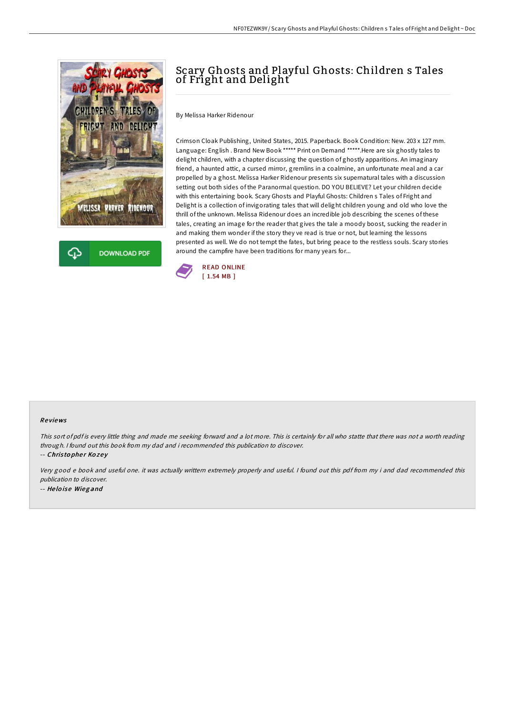



# Scary Ghosts and Playful Ghosts: Children s Tales of Fright and Delight

By Melissa Harker Ridenour

Crimson Cloak Publishing, United States, 2015. Paperback. Book Condition: New. 203 x 127 mm. Language: English . Brand New Book \*\*\*\*\* Print on Demand \*\*\*\*\*. Here are six ghostly tales to delight children, with a chapter discussing the question of ghostly apparitions. An imaginary friend, a haunted attic, a cursed mirror, gremlins in a coalmine, an unfortunate meal and a car propelled by a ghost. Melissa Harker Ridenour presents six supernatural tales with a discussion setting out both sides of the Paranormal question. DO YOU BELIEVE? Let your children decide with this entertaining book. Scary Ghosts and Playful Ghosts: Children s Tales of Fright and Delight is a collection of invigorating tales that will delight children young and old who love the thrill of the unknown. Melissa Ridenour does an incredible job describing the scenes of these tales, creating an image for the reader that gives the tale a moody boost, sucking the reader in and making them wonder if the story they ve read is true or not, but learning the lessons presented as well. We do not tempt the fates, but bring peace to the restless souls. Scary stories around the campfire have been traditions for many years for...



#### Re views

This sort of pdf is every little thing and made me seeking forward and a lot more. This is certainly for all who statte that there was not a worth reading through. <sup>I</sup> found out this book from my dad and i recommended this publication to discover.

-- Christopher Kozey

Very good <sup>e</sup> book and useful one. it was actually writtern extremely properly and useful. <sup>I</sup> found out this pdf from my i and dad recommended this publication to discover. -- He lo ise Wieg and